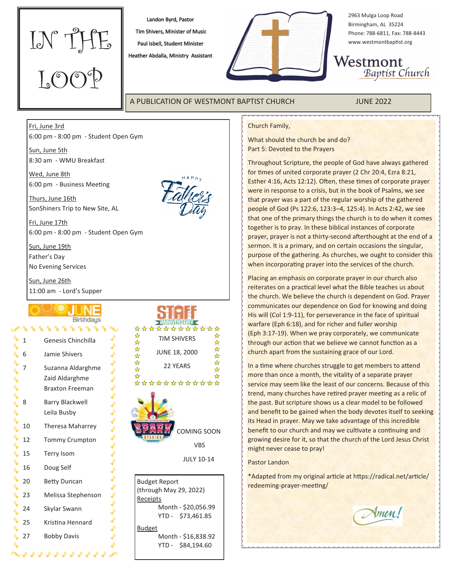

Landon Byrd, Pastor Tim Shivers, Minister of Music Paul Isbell, Student Minister

Heather Abdalla, Ministry Assistant



2963 Mulga Loop Road Birmingham, AL 35224 Phone: 788-6811, Fax: 788-8443 www.westmontbaptist.org

Westmont Baptist Church

A PUBLICATION OF WESTMONT BAPTIST CHURCH JUNE 2022

## Church Family,

What should the church be and do? Part 5: Devoted to the Prayers

Throughout Scripture, the people of God have always gathered for times of united corporate prayer (2 Chr 20:4, Ezra 8:21, Esther 4:16, Acts 12:12). Often, these times of corporate prayer were in response to a crisis, but in the book of Psalms, we see that prayer was a part of the regular worship of the gathered people of God (Ps 122:6, 123:3–4, 125:4). In Acts 2:42, we see that one of the primary things the church is to do when it comes together is to pray. In these biblical instances of corporate prayer, prayer is not a thirty-second afterthought at the end of a sermon. It is a primary, and on certain occasions the singular, purpose of the gathering. As churches, we ought to consider this when incorporating prayer into the services of the church.

Placing an emphasis on corporate prayer in our church also reiterates on a practical level what the Bible teaches us about the church. We believe the church is dependent on God. Prayer communicates our dependence on God for knowing and doing His will (Col 1:9-11), for perseverance in the face of spiritual warfare (Eph 6:18), and for richer and fuller worship (Eph 3:17-19). When we pray corporately, we communicate through our action that we believe we cannot function as a church apart from the sustaining grace of our Lord.

In a time where churches struggle to get members to attend more than once a month, the vitality of a separate prayer service may seem like the least of our concerns. Because of this trend, many churches have retired prayer meeting as a relic of the past. But scripture shows us a clear model to be followed and benefit to be gained when the body devotes itself to seeking its Head in prayer. May we take advantage of this incredible benefit to our church and may we cultivate a continuing and growing desire for it, so that the church of the Lord Jesus Christ might never cease to pray!

Pastor Landon

\*Adapted from my original article at https://radical.net/article/ redeeming-prayer-meeting/

Amen!

## Sun, June 5th 8:30 am - WMU Breakfast

6:00 pm - 8:00 pm - Student Open Gym

Wed, June 8th 6:00 pm - Business Meeting

Thurs, June 16th SonShiners Trip to New Site, AL

Fri, June 17th 6:00 pm - 8:00 pm - Student Open Gym

Sun, June 19th Father's Day

Fri, June 3rd

No Evening Services

Sun, June 26th 11:00 am - Lord's Supper

## **Birthdays**  $4444$ Genesis Chinchilla

| 6  | Jamie Shivers                                                 |  |  |
|----|---------------------------------------------------------------|--|--|
| 7  | Suzanna Aldarghme<br>Zaid Aldarghme<br><b>Braxton Freeman</b> |  |  |
| 8  | <b>Barry Blackwell</b><br>Leila Busby                         |  |  |
| 10 | <b>Theresa Maharrey</b>                                       |  |  |
| 12 | <b>Tommy Crumpton</b>                                         |  |  |
| 15 | <b>Terry Isom</b>                                             |  |  |
| 16 | Doug Self                                                     |  |  |
| 20 | <b>Betty Duncan</b>                                           |  |  |
| 23 | Melissa Stephenson                                            |  |  |
| 24 | Skylar Swann                                                  |  |  |
| 25 | Kristina Hennard                                              |  |  |
| 27 | <b>Bobby Davis</b>                                            |  |  |

 $4444444444$ 

+++++++++++++++++++



\*\*\* \*\*\*\*\*\*\*\*\* 卒 ☆ TIM SHIVERS ☆ 54 24 24 24 JUNE 18, 2000  $\frac{1}{\sqrt{2}}$ 22 YEARS  $\star$ \*\*\*\*\*\*\*\*\* COMING SOON VBS

**FANNIVERSARY** 

JULY 10-14

Budget Report (through May 29, 2022) Receipts Month - \$20,056.99 YTD - \$73,461.85 Budget Month - \$16,838.92 YTD - \$84,194.60